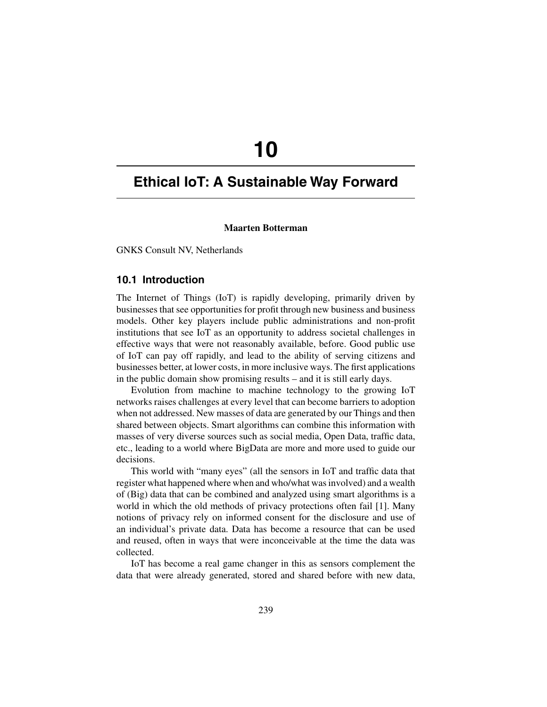# **10**

# **Ethical IoT: A Sustainable Way Forward**

#### **Maarten Botterman**

GNKS Consult NV, Netherlands

### **10.1 Introduction**

The Internet of Things (IoT) is rapidly developing, primarily driven by businesses that see opportunities for profit through new business and business models. Other key players include public administrations and non-profit institutions that see IoT as an opportunity to address societal challenges in effective ways that were not reasonably available, before. Good public use of IoT can pay off rapidly, and lead to the ability of serving citizens and businesses better, at lower costs, in more inclusive ways. The first applications in the public domain show promising results – and it is still early days.

Evolution from machine to machine technology to the growing IoT networks raises challenges at every level that can become barriers to adoption when not addressed. New masses of data are generated by our Things and then shared between objects. Smart algorithms can combine this information with masses of very diverse sources such as social media, Open Data, traffic data, etc., leading to a world where BigData are more and more used to guide our decisions.

This world with "many eyes" (all the sensors in IoT and traffic data that register what happened where when and who/what was involved) and a wealth of (Big) data that can be combined and analyzed using smart algorithms is a world in which the old methods of privacy protections often fail [1]. Many notions of privacy rely on informed consent for the disclosure and use of an individual's private data. Data has become a resource that can be used and reused, often in ways that were inconceivable at the time the data was collected.

IoT has become a real game changer in this as sensors complement the data that were already generated, stored and shared before with new data,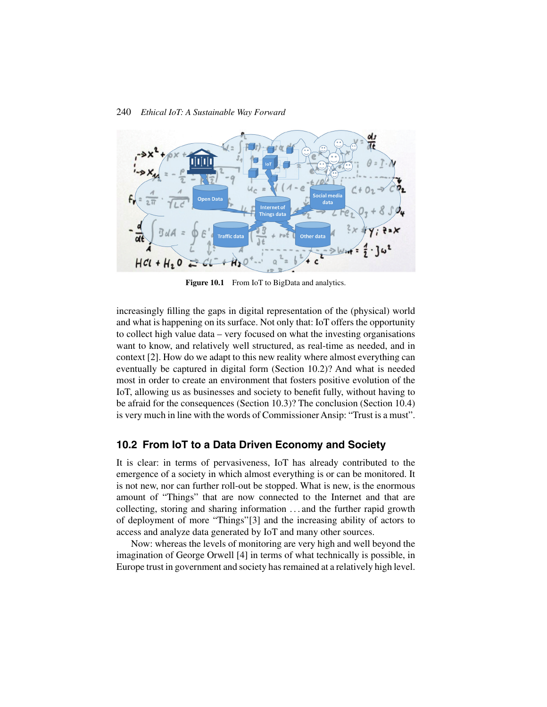

Figure 10.1 From IoT to BigData and analytics.

increasingly filling the gaps in digital representation of the (physical) world and what is happening on its surface. Not only that: IoT offers the opportunity to collect high value data – very focused on what the investing organisations want to know, and relatively well structured, as real-time as needed, and in context [2]. How do we adapt to this new reality where almost everything can eventually be captured in digital form (Section 10.2)? And what is needed most in order to create an environment that fosters positive evolution of the IoT, allowing us as businesses and society to benefit fully, without having to be afraid for the consequences (Section 10.3)? The conclusion (Section 10.4) is very much in line with the words of Commissioner Ansip: "Trust is a must".

# **10.2 From IoT to a Data Driven Economy and Society**

It is clear: in terms of pervasiveness, IoT has already contributed to the emergence of a society in which almost everything is or can be monitored. It is not new, nor can further roll-out be stopped. What is new, is the enormous amount of "Things" that are now connected to the Internet and that are collecting, storing and sharing information . . . and the further rapid growth of deployment of more "Things"[3] and the increasing ability of actors to access and analyze data generated by IoT and many other sources.

Now: whereas the levels of monitoring are very high and well beyond the imagination of George Orwell [4] in terms of what technically is possible, in Europe trust in government and society has remained at a relatively high level.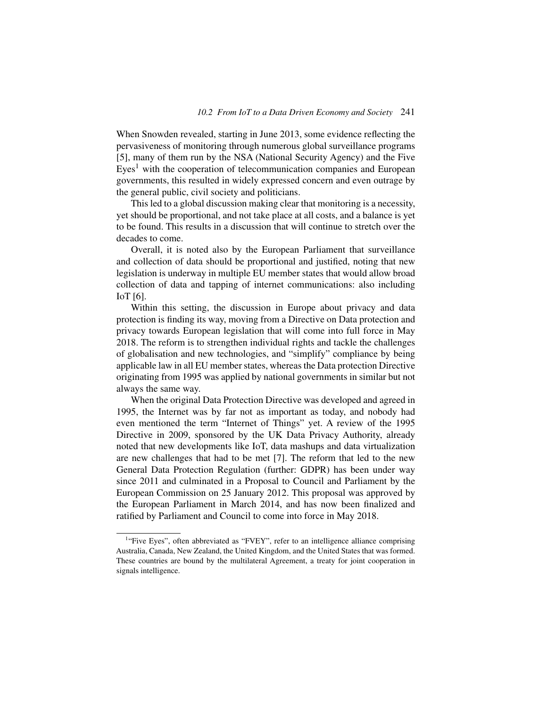When Snowden revealed, starting in June 2013, some evidence reflecting the pervasiveness of monitoring through numerous global surveillance programs [5], many of them run by the NSA (National Security Agency) and the Five  $Eyes<sup>1</sup>$  with the cooperation of telecommunication companies and European governments, this resulted in widely expressed concern and even outrage by the general public, civil society and politicians.

This led to a global discussion making clear that monitoring is a necessity, yet should be proportional, and not take place at all costs, and a balance is yet to be found. This results in a discussion that will continue to stretch over the decades to come.

Overall, it is noted also by the European Parliament that surveillance and collection of data should be proportional and justified, noting that new legislation is underway in multiple EU member states that would allow broad collection of data and tapping of internet communications: also including IoT [6].

Within this setting, the discussion in Europe about privacy and data protection is finding its way, moving from a Directive on Data protection and privacy towards European legislation that will come into full force in May 2018. The reform is to strengthen individual rights and tackle the challenges of globalisation and new technologies, and "simplify" compliance by being applicable law in all EU member states, whereas the Data protection Directive originating from 1995 was applied by national governments in similar but not always the same way.

When the original Data Protection Directive was developed and agreed in 1995, the Internet was by far not as important as today, and nobody had even mentioned the term "Internet of Things" yet. A review of the 1995 Directive in 2009, sponsored by the UK Data Privacy Authority, already noted that new developments like IoT, data mashups and data virtualization are new challenges that had to be met [7]. The reform that led to the new General Data Protection Regulation (further: GDPR) has been under way since 2011 and culminated in a Proposal to Council and Parliament by the European Commission on 25 January 2012. This proposal was approved by the European Parliament in March 2014, and has now been finalized and ratified by Parliament and Council to come into force in May 2018.

<sup>&</sup>lt;sup>1</sup>"Five Eyes", often abbreviated as "FVEY", refer to an intelligence alliance comprising Australia, Canada, New Zealand, the United Kingdom, and the United States that was formed. These countries are bound by the multilateral Agreement, a treaty for joint cooperation in signals intelligence.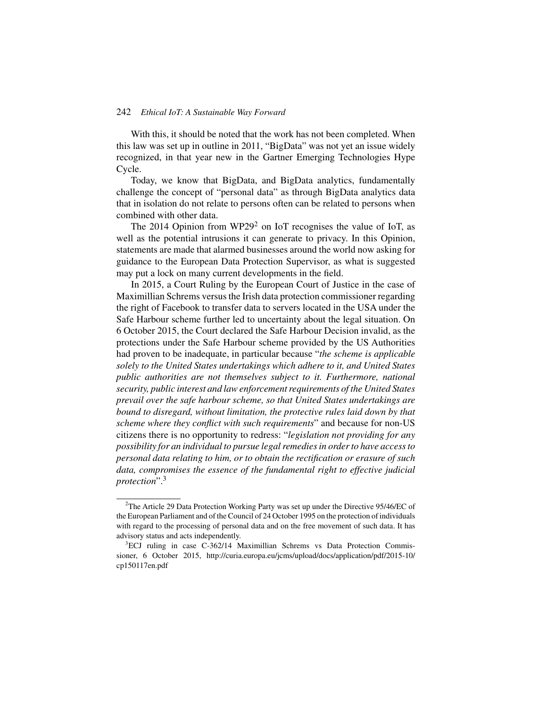With this, it should be noted that the work has not been completed. When this law was set up in outline in 2011, "BigData" was not yet an issue widely recognized, in that year new in the Gartner Emerging Technologies Hype Cycle.

Today, we know that BigData, and BigData analytics, fundamentally challenge the concept of "personal data" as through BigData analytics data that in isolation do not relate to persons often can be related to persons when combined with other data.

The 2014 Opinion from WP29<sup>2</sup> on IoT recognises the value of IoT, as well as the potential intrusions it can generate to privacy. In this Opinion, statements are made that alarmed businesses around the world now asking for guidance to the European Data Protection Supervisor, as what is suggested may put a lock on many current developments in the field.

In 2015, a Court Ruling by the European Court of Justice in the case of Maximillian Schrems versus the Irish data protection commissioner regarding the right of Facebook to transfer data to servers located in the USA under the Safe Harbour scheme further led to uncertainty about the legal situation. On 6 October 2015, the Court declared the Safe Harbour Decision invalid, as the protections under the Safe Harbour scheme provided by the US Authorities had proven to be inadequate, in particular because "*the scheme is applicable solely to the United States undertakings which adhere to it, and United States public authorities are not themselves subject to it. Furthermore, national security, public interest and law enforcement requirements of the United States prevail over the safe harbour scheme, so that United States undertakings are bound to disregard, without limitation, the protective rules laid down by that scheme where they conflict with such requirements*" and because for non-US citizens there is no opportunity to redress: "*legislation not providing for any possibility for an individual to pursue legal remedies in order to have access to personal data relating to him, or to obtain the rectification or erasure of such data, compromises the essence of the fundamental right to effective judicial protection*".3

<sup>&</sup>lt;sup>2</sup>The Article 29 Data Protection Working Party was set up under the Directive 95/46/EC of the European Parliament and of the Council of 24 October 1995 on the protection of individuals with regard to the processing of personal data and on the free movement of such data. It has advisory status and acts independently.

<sup>&</sup>lt;sup>3</sup>ECJ ruling in case C-362/14 Maximillian Schrems vs Data Protection Commissioner, 6 October 2015, http://curia.europa.eu/jcms/upload/docs/application/pdf/2015-10/ cp150117en.pdf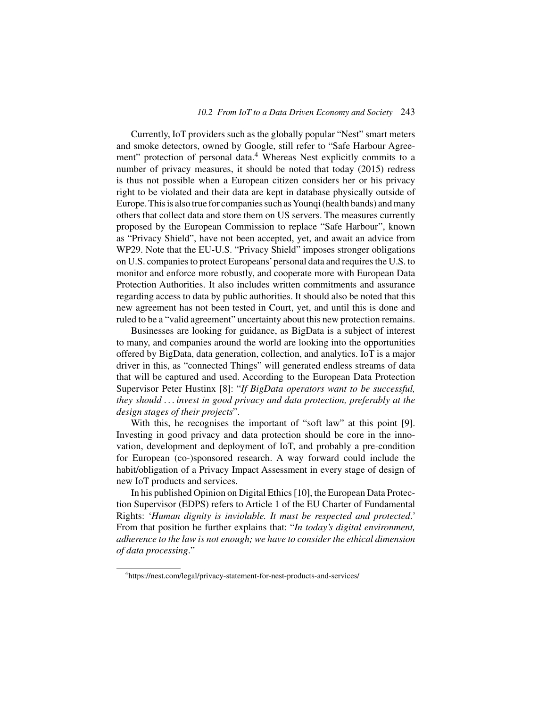Currently, IoT providers such as the globally popular "Nest" smart meters and smoke detectors, owned by Google, still refer to "Safe Harbour Agreement" protection of personal data.<sup>4</sup> Whereas Nest explicitly commits to a number of privacy measures, it should be noted that today (2015) redress is thus not possible when a European citizen considers her or his privacy right to be violated and their data are kept in database physically outside of Europe. This is also true for companies such asYounqi (health bands) and many others that collect data and store them on US servers. The measures currently proposed by the European Commission to replace "Safe Harbour", known as "Privacy Shield", have not been accepted, yet, and await an advice from WP29. Note that the EU-U.S. "Privacy Shield" imposes stronger obligations on U.S. companies to protect Europeans'personal data and requires the U.S. to monitor and enforce more robustly, and cooperate more with European Data Protection Authorities. It also includes written commitments and assurance regarding access to data by public authorities. It should also be noted that this new agreement has not been tested in Court, yet, and until this is done and ruled to be a "valid agreement" uncertainty about this new protection remains.

Businesses are looking for guidance, as BigData is a subject of interest to many, and companies around the world are looking into the opportunities offered by BigData, data generation, collection, and analytics. IoT is a major driver in this, as "connected Things" will generated endless streams of data that will be captured and used. According to the European Data Protection Supervisor Peter Hustinx [8]: "*If BigData operators want to be successful, they should . . . invest in good privacy and data protection, preferably at the design stages of their projects*".

With this, he recognises the important of "soft law" at this point [9]. Investing in good privacy and data protection should be core in the innovation, development and deployment of IoT, and probably a pre-condition for European (co-)sponsored research. A way forward could include the habit/obligation of a Privacy Impact Assessment in every stage of design of new IoT products and services.

In his published Opinion on Digital Ethics [10], the European Data Protection Supervisor (EDPS) refers to Article 1 of the EU Charter of Fundamental Rights: '*Human dignity is inviolable. It must be respected and protected*.' From that position he further explains that: "*In today's digital environment, adherence to the law is not enough; we have to consider the ethical dimension of data processing*."

<sup>4</sup> https://nest.com/legal/privacy-statement-for-nest-products-and-services/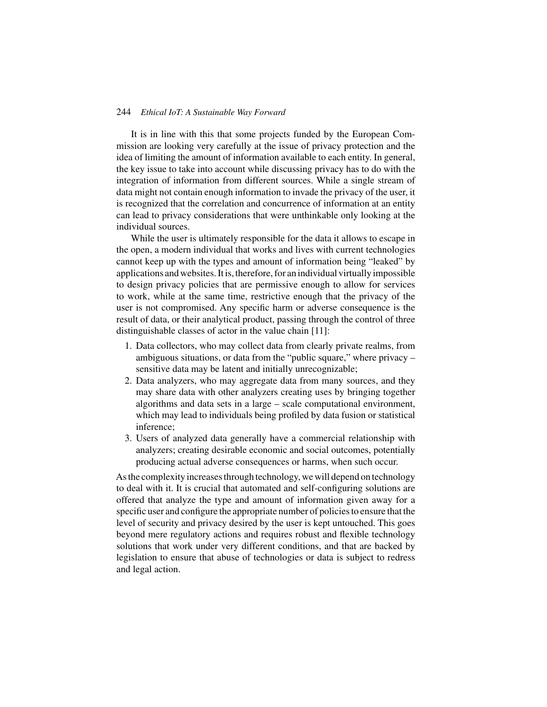It is in line with this that some projects funded by the European Commission are looking very carefully at the issue of privacy protection and the idea of limiting the amount of information available to each entity. In general, the key issue to take into account while discussing privacy has to do with the integration of information from different sources. While a single stream of data might not contain enough information to invade the privacy of the user, it is recognized that the correlation and concurrence of information at an entity can lead to privacy considerations that were unthinkable only looking at the individual sources.

While the user is ultimately responsible for the data it allows to escape in the open, a modern individual that works and lives with current technologies cannot keep up with the types and amount of information being "leaked" by applications and websites. It is, therefore, for an individual virtually impossible to design privacy policies that are permissive enough to allow for services to work, while at the same time, restrictive enough that the privacy of the user is not compromised. Any specific harm or adverse consequence is the result of data, or their analytical product, passing through the control of three distinguishable classes of actor in the value chain [11]:

- 1. Data collectors, who may collect data from clearly private realms, from ambiguous situations, or data from the "public square," where privacy – sensitive data may be latent and initially unrecognizable;
- 2. Data analyzers, who may aggregate data from many sources, and they may share data with other analyzers creating uses by bringing together algorithms and data sets in a large – scale computational environment, which may lead to individuals being profiled by data fusion or statistical inference;
- 3. Users of analyzed data generally have a commercial relationship with analyzers; creating desirable economic and social outcomes, potentially producing actual adverse consequences or harms, when such occur.

As the complexity increases through technology, we will depend on technology to deal with it. It is crucial that automated and self-configuring solutions are offered that analyze the type and amount of information given away for a specific user and configure the appropriate number of policies to ensure that the level of security and privacy desired by the user is kept untouched. This goes beyond mere regulatory actions and requires robust and flexible technology solutions that work under very different conditions, and that are backed by legislation to ensure that abuse of technologies or data is subject to redress and legal action.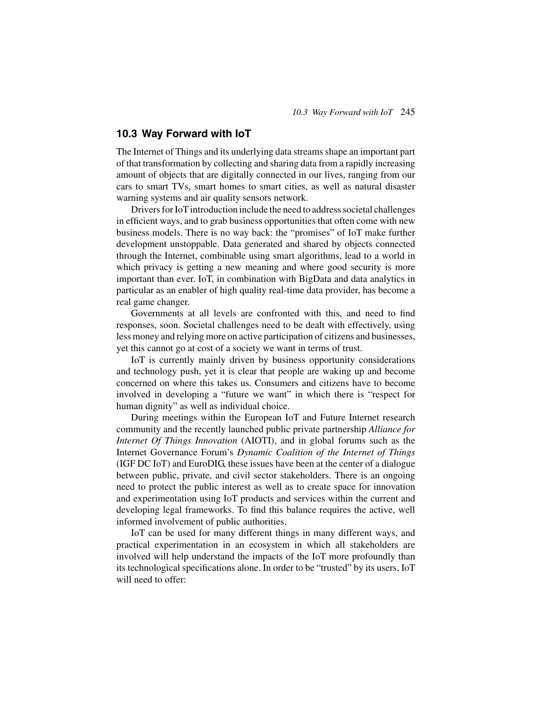# **10.3 Way Forward with IoT**

The Internet of Things and its underlying data streams shape an important part of that transformation by collecting and sharing data from a rapidly increasing amount of objects that are digitally connected in our lives, ranging from our cars to smart TVs, smart homes to smart cities, as well as natural disaster warning systems and air quality sensors network.

Drivers for IoT introduction include the need to address societal challenges in efficient ways, and to grab business opportunities that often come with new business models. There is no way back: the "promises" of IoT make further development unstoppable. Data generated and shared by objects connected through the Internet, combinable using smart algorithms, lead to a world in which privacy is getting a new meaning and where good security is more important than ever. IoT, in combination with BigData and data analytics in particular as an enabler of high quality real-time data provider, has become a real game changer.

Governments at all levels are confronted with this, and need to find responses, soon. Societal challenges need to be dealt with effectively, using less money and relying more on active participation of citizens and businesses, yet this cannot go at cost of a society we want in terms of trust.

IoT is currently mainly driven by business opportunity considerations and technology push, yet it is clear that people are waking up and become concerned on where this takes us. Consumers and citizens have to become involved in developing a "future we want" in which there is "respect for human dignity" as well as individual choice.

During meetings within the European IoT and Future Internet research community and the recently launched public private partnership *Alliance for Internet Of Things Innovation* (AIOTI), and in global forums such as the Internet Governance Forum's *Dynamic Coalition of the Internet of Things* (IGF DC IoT) and EuroDIG, these issues have been at the center of a dialogue between public, private, and civil sector stakeholders. There is an ongoing need to protect the public interest as well as to create space for innovation and experimentation using IoT products and services within the current and developing legal frameworks. To find this balance requires the active, well informed involvement of public authorities.

IoT can be used for many different things in many different ways, and practical experimentation in an ecosystem in which all stakeholders are involved will help understand the impacts of the IoT more profoundly than its technological specifications alone. In order to be "trusted" by its users, IoT will need to offer: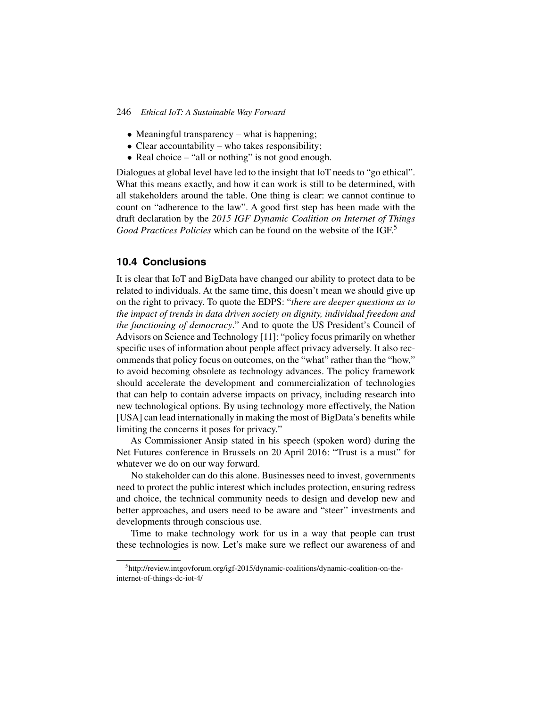- Meaningful transparency what is happening;
- Clear accountability who takes responsibility;
- Real choice "all or nothing" is not good enough.

Dialogues at global level have led to the insight that IoT needs to "go ethical". What this means exactly, and how it can work is still to be determined, with all stakeholders around the table. One thing is clear: we cannot continue to count on "adherence to the law". A good first step has been made with the draft declaration by the *2015 IGF Dynamic Coalition on Internet of Things Good Practices Policies* which can be found on the website of the IGF.5

# **10.4 Conclusions**

It is clear that IoT and BigData have changed our ability to protect data to be related to individuals. At the same time, this doesn't mean we should give up on the right to privacy. To quote the EDPS: "*there are deeper questions as to the impact of trends in data driven society on dignity, individual freedom and the functioning of democracy*." And to quote the US President's Council of Advisors on Science and Technology [11]: "policy focus primarily on whether specific uses of information about people affect privacy adversely. It also recommends that policy focus on outcomes, on the "what" rather than the "how," to avoid becoming obsolete as technology advances. The policy framework should accelerate the development and commercialization of technologies that can help to contain adverse impacts on privacy, including research into new technological options. By using technology more effectively, the Nation [USA] can lead internationally in making the most of BigData's benefits while limiting the concerns it poses for privacy."

As Commissioner Ansip stated in his speech (spoken word) during the Net Futures conference in Brussels on 20 April 2016: "Trust is a must" for whatever we do on our way forward.

No stakeholder can do this alone. Businesses need to invest, governments need to protect the public interest which includes protection, ensuring redress and choice, the technical community needs to design and develop new and better approaches, and users need to be aware and "steer" investments and developments through conscious use.

Time to make technology work for us in a way that people can trust these technologies is now. Let's make sure we reflect our awareness of and

<sup>&</sup>lt;sup>5</sup>http://review.intgovforum.org/igf-2015/dynamic-coalitions/dynamic-coalition-on-theinternet-of-things-dc-iot-4/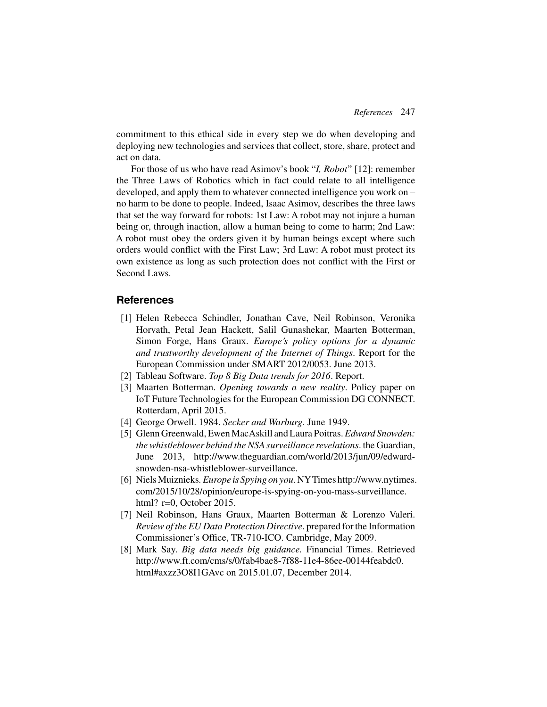commitment to this ethical side in every step we do when developing and deploying new technologies and services that collect, store, share, protect and act on data.

For those of us who have read Asimov's book "*I, Robot*" [12]: remember the Three Laws of Robotics which in fact could relate to all intelligence developed, and apply them to whatever connected intelligence you work on – no harm to be done to people. Indeed, Isaac Asimov, describes the three laws that set the way forward for robots: 1st Law: A robot may not injure a human being or, through inaction, allow a human being to come to harm; 2nd Law: A robot must obey the orders given it by human beings except where such orders would conflict with the First Law; 3rd Law: A robot must protect its own existence as long as such protection does not conflict with the First or Second Laws.

# **References**

- [1] Helen Rebecca Schindler, Jonathan Cave, Neil Robinson, Veronika Horvath, Petal Jean Hackett, Salil Gunashekar, Maarten Botterman, Simon Forge, Hans Graux. *Europe's policy options for a dynamic and trustworthy development of the Internet of Things*. Report for the European Commission under SMART 2012/0053. June 2013.
- [2] Tableau Software. *Top 8 Big Data trends for 2016*. Report.
- [3] Maarten Botterman. *Opening towards a new reality*. Policy paper on IoT Future Technologies for the European Commission DG CONNECT. Rotterdam, April 2015.
- [4] George Orwell. 1984. *Secker and Warburg*. June 1949.
- [5] Glenn Greenwald, Ewen MacAskill and Laura Poitras.*Edward Snowden: the whistleblower behind the NSA surveillance revelations*. the Guardian, June 2013, http://www.theguardian.com/world/2013/jun/09/edwardsnowden-nsa-whistleblower-surveillance.
- [6] NielsMuiznieks*. Europe is Spying on you*. NYTimes http://www.nytimes. com/2015/10/28/opinion/europe-is-spying-on-you-mass-surveillance. html? $r=0$ . October 2015.
- [7] Neil Robinson, Hans Graux, Maarten Botterman & Lorenzo Valeri. *Review of the EU Data Protection Directive*. prepared for the Information Commissioner's Office, TR-710-ICO. Cambridge, May 2009.
- [8] Mark Say. *Big data needs big guidance.* Financial Times. Retrieved http://www.ft.com/cms/s/0/fab4bae8-7f88-11e4-86ee-00144feabdc0. html#axzz3O8I1GAvc on 2015.01.07, December 2014.